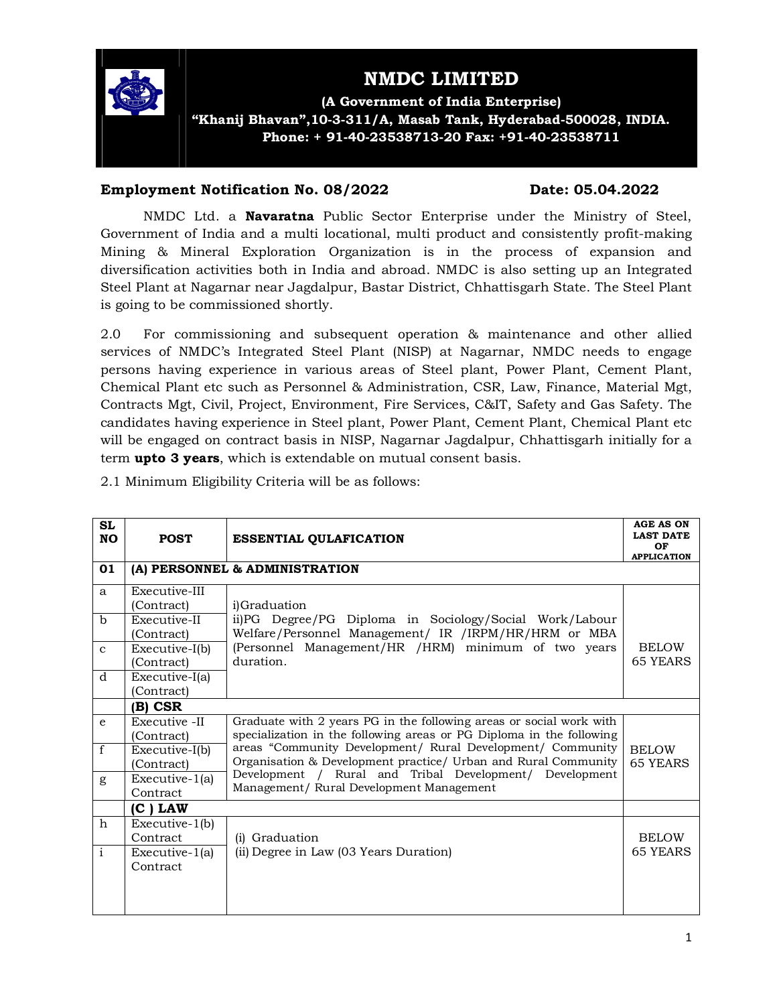

# **NMDC LIMITED**

**(A Government of India Enterprise) "Khanij Bhavan",10-3-311/A, Masab Tank, Hyderabad-500028, INDIA. Phone: + 91-40-23538713-20 Fax: +91-40-23538711**

#### **Employment Notification No. 08/2022 Date: 05.04.2022**

NMDC Ltd. a **Navaratna** Public Sector Enterprise under the Ministry of Steel, Government of India and a multi locational, multi product and consistently profit-making Mining & Mineral Exploration Organization is in the process of expansion and diversification activities both in India and abroad. NMDC is also setting up an Integrated Steel Plant at Nagarnar near Jagdalpur, Bastar District, Chhattisgarh State. The Steel Plant is going to be commissioned shortly.

2.0 For commissioning and subsequent operation & maintenance and other allied services of NMDC's Integrated Steel Plant (NISP) at Nagarnar, NMDC needs to engage persons having experience in various areas of Steel plant, Power Plant, Cement Plant, Chemical Plant etc such as Personnel & Administration, CSR, Law, Finance, Material Mgt, Contracts Mgt, Civil, Project, Environment, Fire Services, C&IT, Safety and Gas Safety. The candidates having experience in Steel plant, Power Plant, Cement Plant, Chemical Plant etc will be engaged on contract basis in NISP, Nagarnar Jagdalpur, Chhattisgarh initially for a term **upto 3 years**, which is extendable on mutual consent basis.

2.1 Minimum Eligibility Criteria will be as follows:

| <b>SL</b><br><b>NO</b> | <b>POST</b>                       | <b>ESSENTIAL QULAFICATION</b>                                        | <b>AGE AS ON</b><br><b>LAST DATE</b><br>OF<br><b>APPLICATION</b> |
|------------------------|-----------------------------------|----------------------------------------------------------------------|------------------------------------------------------------------|
| 01                     | (A) PERSONNEL & ADMINISTRATION    |                                                                      |                                                                  |
| a                      | Executive-III                     |                                                                      |                                                                  |
|                        | (Contract)                        | i)Graduation                                                         |                                                                  |
| $\mathbf b$            | Executive-II                      | ii)PG Degree/PG Diploma in Sociology/Social Work/Labour              |                                                                  |
|                        | (Contract)                        | Welfare/Personnel Management/ IR /IRPM/HR/HRM or MBA                 |                                                                  |
| $\mathbf{C}$           | $Execute-I(b)$                    | (Personnel Management/HR /HRM) minimum of two years                  | <b>BELOW</b>                                                     |
|                        | (Contract)                        | duration.                                                            | <b>65 YEARS</b>                                                  |
| d                      | Executive-I(a)                    |                                                                      |                                                                  |
|                        | (Contract)                        |                                                                      |                                                                  |
|                        | $(B)$ CSR                         |                                                                      |                                                                  |
| $\mathbf{e}$           | Executive -II                     | Graduate with 2 years PG in the following areas or social work with  |                                                                  |
|                        | (Contract)                        | specialization in the following areas or PG Diploma in the following |                                                                  |
| $\mathbf f$            | Executive-I(b)                    | areas "Community Development/ Rural Development/ Community           | <b>BELOW</b>                                                     |
|                        | (Contract)                        | Organisation & Development practice/ Urban and Rural Community       | <b>65 YEARS</b>                                                  |
| g                      | $\overline{\text{Execute-1}}$ (a) | Development / Rural and Tribal Development/ Development              |                                                                  |
|                        | Contract                          | Management/ Rural Development Management                             |                                                                  |
|                        | $(C)$ LAW                         |                                                                      |                                                                  |
| $\hbar$                | $Execution-1(b)$                  |                                                                      |                                                                  |
|                        | Contract                          | (i) Graduation                                                       | <b>BELOW</b>                                                     |
| $\mathbf{i}$           | Executive-1(a)                    | (ii) Degree in Law (03 Years Duration)                               | 65 YEARS                                                         |
|                        | Contract                          |                                                                      |                                                                  |
|                        |                                   |                                                                      |                                                                  |
|                        |                                   |                                                                      |                                                                  |
|                        |                                   |                                                                      |                                                                  |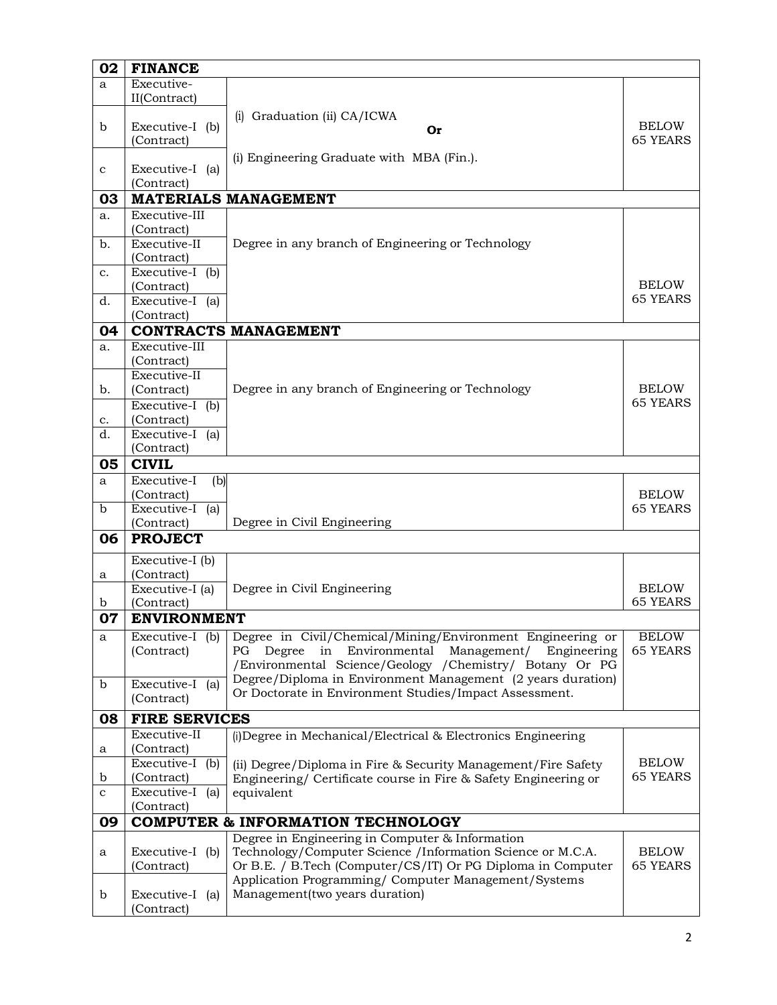| Executive-<br>a<br>II(Contract)<br>(i) Graduation (ii) CA/ICWA<br><b>BELOW</b><br>Executive-I (b)<br>b<br>Or<br><b>65 YEARS</b><br>(Contract)<br>(i) Engineering Graduate with MBA (Fin.).<br>Executive-I (a)<br>$\mathbf c$<br>(Contract)<br><b>MATERIALS MANAGEMENT</b><br>03<br>Executive-III<br>a.<br>(Contract)<br>Executive-II<br>Degree in any branch of Engineering or Technology<br>b.<br>(Contract)<br>Executive-I (b)<br>c.<br><b>BELOW</b><br>(Contract)<br><b>65 YEARS</b><br>Executive-I (a)<br>d.<br>(Contract)<br>04<br><b>CONTRACTS MANAGEMENT</b><br>Executive-III<br>a.<br>(Contract)<br>Executive-II |  |
|--------------------------------------------------------------------------------------------------------------------------------------------------------------------------------------------------------------------------------------------------------------------------------------------------------------------------------------------------------------------------------------------------------------------------------------------------------------------------------------------------------------------------------------------------------------------------------------------------------------------------|--|
|                                                                                                                                                                                                                                                                                                                                                                                                                                                                                                                                                                                                                          |  |
|                                                                                                                                                                                                                                                                                                                                                                                                                                                                                                                                                                                                                          |  |
|                                                                                                                                                                                                                                                                                                                                                                                                                                                                                                                                                                                                                          |  |
|                                                                                                                                                                                                                                                                                                                                                                                                                                                                                                                                                                                                                          |  |
|                                                                                                                                                                                                                                                                                                                                                                                                                                                                                                                                                                                                                          |  |
|                                                                                                                                                                                                                                                                                                                                                                                                                                                                                                                                                                                                                          |  |
|                                                                                                                                                                                                                                                                                                                                                                                                                                                                                                                                                                                                                          |  |
|                                                                                                                                                                                                                                                                                                                                                                                                                                                                                                                                                                                                                          |  |
|                                                                                                                                                                                                                                                                                                                                                                                                                                                                                                                                                                                                                          |  |
|                                                                                                                                                                                                                                                                                                                                                                                                                                                                                                                                                                                                                          |  |
|                                                                                                                                                                                                                                                                                                                                                                                                                                                                                                                                                                                                                          |  |
|                                                                                                                                                                                                                                                                                                                                                                                                                                                                                                                                                                                                                          |  |
|                                                                                                                                                                                                                                                                                                                                                                                                                                                                                                                                                                                                                          |  |
|                                                                                                                                                                                                                                                                                                                                                                                                                                                                                                                                                                                                                          |  |
|                                                                                                                                                                                                                                                                                                                                                                                                                                                                                                                                                                                                                          |  |
|                                                                                                                                                                                                                                                                                                                                                                                                                                                                                                                                                                                                                          |  |
|                                                                                                                                                                                                                                                                                                                                                                                                                                                                                                                                                                                                                          |  |
|                                                                                                                                                                                                                                                                                                                                                                                                                                                                                                                                                                                                                          |  |
| Degree in any branch of Engineering or Technology<br><b>BELOW</b>                                                                                                                                                                                                                                                                                                                                                                                                                                                                                                                                                        |  |
| (Contract)<br>b.<br><b>65 YEARS</b><br>Executive-I (b)                                                                                                                                                                                                                                                                                                                                                                                                                                                                                                                                                                   |  |
| (Contract)<br>c.                                                                                                                                                                                                                                                                                                                                                                                                                                                                                                                                                                                                         |  |
| Executive-I (a)<br>d.                                                                                                                                                                                                                                                                                                                                                                                                                                                                                                                                                                                                    |  |
| (Contract)                                                                                                                                                                                                                                                                                                                                                                                                                                                                                                                                                                                                               |  |
| 05<br><b>CIVIL</b>                                                                                                                                                                                                                                                                                                                                                                                                                                                                                                                                                                                                       |  |
| Executive-I<br>(b)<br>a                                                                                                                                                                                                                                                                                                                                                                                                                                                                                                                                                                                                  |  |
| (Contract)<br><b>BELOW</b>                                                                                                                                                                                                                                                                                                                                                                                                                                                                                                                                                                                               |  |
| Executive-I (a)<br><b>65 YEARS</b><br>b                                                                                                                                                                                                                                                                                                                                                                                                                                                                                                                                                                                  |  |
| Degree in Civil Engineering<br>(Contract)<br><b>PROJECT</b><br>06                                                                                                                                                                                                                                                                                                                                                                                                                                                                                                                                                        |  |
|                                                                                                                                                                                                                                                                                                                                                                                                                                                                                                                                                                                                                          |  |
| Executive-I (b)                                                                                                                                                                                                                                                                                                                                                                                                                                                                                                                                                                                                          |  |
| (Contract)<br>a<br>Degree in Civil Engineering<br>Executive-I (a)<br><b>BELOW</b>                                                                                                                                                                                                                                                                                                                                                                                                                                                                                                                                        |  |
| <b>65 YEARS</b><br>(Contract)<br>b                                                                                                                                                                                                                                                                                                                                                                                                                                                                                                                                                                                       |  |
| <b>ENVIRONMENT</b><br>07                                                                                                                                                                                                                                                                                                                                                                                                                                                                                                                                                                                                 |  |
| Degree in Civil/Chemical/Mining/Environment Engineering or<br><b>BELOW</b><br>Executive-I (b)<br>a                                                                                                                                                                                                                                                                                                                                                                                                                                                                                                                       |  |
| <b>65 YEARS</b><br>(Contract)<br>in Environmental<br>Management/<br>Engineering<br>PG.<br>Degree                                                                                                                                                                                                                                                                                                                                                                                                                                                                                                                         |  |
| /Environmental Science/Geology /Chemistry/ Botany Or PG                                                                                                                                                                                                                                                                                                                                                                                                                                                                                                                                                                  |  |
| Degree/Diploma in Environment Management (2 years duration)<br>Executive-I (a)<br>b                                                                                                                                                                                                                                                                                                                                                                                                                                                                                                                                      |  |
| Or Doctorate in Environment Studies/Impact Assessment.<br>(Contract)                                                                                                                                                                                                                                                                                                                                                                                                                                                                                                                                                     |  |
| 08<br><b>FIRE SERVICES</b>                                                                                                                                                                                                                                                                                                                                                                                                                                                                                                                                                                                               |  |
| Executive-II<br>(i) Degree in Mechanical/Electrical & Electronics Engineering                                                                                                                                                                                                                                                                                                                                                                                                                                                                                                                                            |  |
| (Contract)<br>a                                                                                                                                                                                                                                                                                                                                                                                                                                                                                                                                                                                                          |  |
| Executive-I (b)<br><b>BELOW</b><br>(ii) Degree/Diploma in Fire & Security Management/Fire Safety                                                                                                                                                                                                                                                                                                                                                                                                                                                                                                                         |  |
| <b>65 YEARS</b><br>(Contract)<br>b<br>Engineering/ Certificate course in Fire & Safety Engineering or                                                                                                                                                                                                                                                                                                                                                                                                                                                                                                                    |  |
| Executive-I (a)<br>equivalent<br>$\mathbf c$<br>(Contract)                                                                                                                                                                                                                                                                                                                                                                                                                                                                                                                                                               |  |
| 09<br><b>COMPUTER &amp; INFORMATION TECHNOLOGY</b>                                                                                                                                                                                                                                                                                                                                                                                                                                                                                                                                                                       |  |
| Degree in Engineering in Computer & Information                                                                                                                                                                                                                                                                                                                                                                                                                                                                                                                                                                          |  |
| Technology/Computer Science /Information Science or M.C.A.<br>Executive-I (b)<br><b>BELOW</b><br>a                                                                                                                                                                                                                                                                                                                                                                                                                                                                                                                       |  |
| Or B.E. / B.Tech (Computer/CS/IT) Or PG Diploma in Computer<br><b>65 YEARS</b><br>(Contract)                                                                                                                                                                                                                                                                                                                                                                                                                                                                                                                             |  |
| Application Programming/ Computer Management/Systems                                                                                                                                                                                                                                                                                                                                                                                                                                                                                                                                                                     |  |
| Management(two years duration)<br>b<br>Executive-I (a)<br>(Contract)                                                                                                                                                                                                                                                                                                                                                                                                                                                                                                                                                     |  |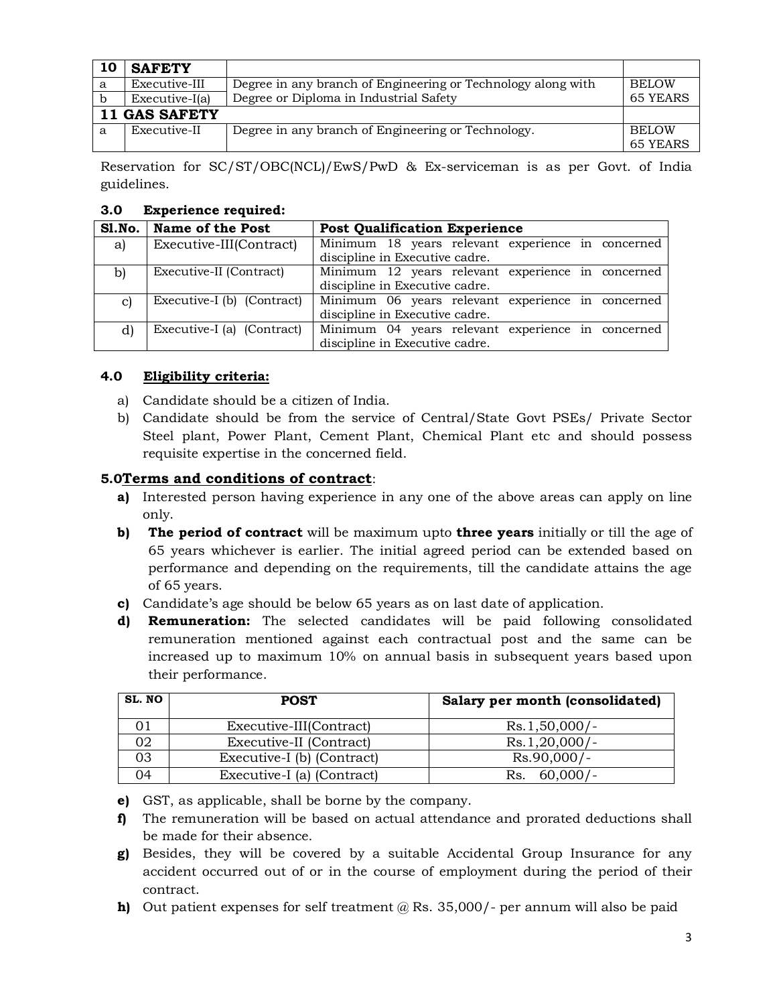| 10 | <b>SAFETY</b>        |                                                              |                 |  |
|----|----------------------|--------------------------------------------------------------|-----------------|--|
| a  | Executive-III        | Degree in any branch of Engineering or Technology along with | <b>BELOW</b>    |  |
|    | Executive-I(a)       | Degree or Diploma in Industrial Safety                       | 65 YEARS        |  |
|    | <b>11 GAS SAFETY</b> |                                                              |                 |  |
| a  | Executive-II         | Degree in any branch of Engineering or Technology.           | <b>BELOW</b>    |  |
|    |                      |                                                              | <b>65 YEARS</b> |  |

Reservation for SC/ST/OBC(NCL)/EwS/PwD & Ex-serviceman is as per Govt. of India guidelines.

## **3.0 Experience required:**

|    | Sl.No.   Name of the Post  | <b>Post Qualification Experience</b>              |  |  |
|----|----------------------------|---------------------------------------------------|--|--|
| a) | Executive-III(Contract)    | Minimum 18 years relevant experience in concerned |  |  |
|    |                            | discipline in Executive cadre.                    |  |  |
| b) | Executive-II (Contract)    | Minimum 12 years relevant experience in concerned |  |  |
|    |                            | discipline in Executive cadre.                    |  |  |
| C) | Executive-I (b) (Contract) | Minimum 06 years relevant experience in concerned |  |  |
|    |                            | discipline in Executive cadre.                    |  |  |
| d) | Executive-I (a) (Contract) | Minimum 04 years relevant experience in concerned |  |  |
|    |                            | discipline in Executive cadre.                    |  |  |

# **4.0 Eligibility criteria:**

- a) Candidate should be a citizen of India.
- b) Candidate should be from the service of Central/State Govt PSEs/ Private Sector Steel plant, Power Plant, Cement Plant, Chemical Plant etc and should possess requisite expertise in the concerned field.

# **5.0Terms and conditions of contract**:

- **a)** Interested person having experience in any one of the above areas can apply on line only.
- **b) The period of contract** will be maximum upto **three years** initially or till the age of 65 years whichever is earlier. The initial agreed period can be extended based on performance and depending on the requirements, till the candidate attains the age of 65 years.
- **c)** Candidate's age should be below 65 years as on last date of application.
- **d) Remuneration:** The selected candidates will be paid following consolidated remuneration mentioned against each contractual post and the same can be increased up to maximum 10% on annual basis in subsequent years based upon their performance.

| SL. NO | <b>POST</b>                | Salary per month (consolidated) |
|--------|----------------------------|---------------------------------|
|        | Executive-III(Contract)    | $Rs.1,50,000/-$                 |
| 02     | Executive-II (Contract)    | $Rs.1,20,000/-$                 |
| 03     | Executive-I (b) (Contract) | $Rs.90,000/-$                   |
| ገ4     | Executive-I (a) (Contract) | $60,000/-$<br>Rs.               |

- **e)** GST, as applicable, shall be borne by the company.
- **f)** The remuneration will be based on actual attendance and prorated deductions shall be made for their absence.
- **g)** Besides, they will be covered by a suitable Accidental Group Insurance for any accident occurred out of or in the course of employment during the period of their contract.
- **h)** Out patient expenses for self treatment @ Rs. 35,000/- per annum will also be paid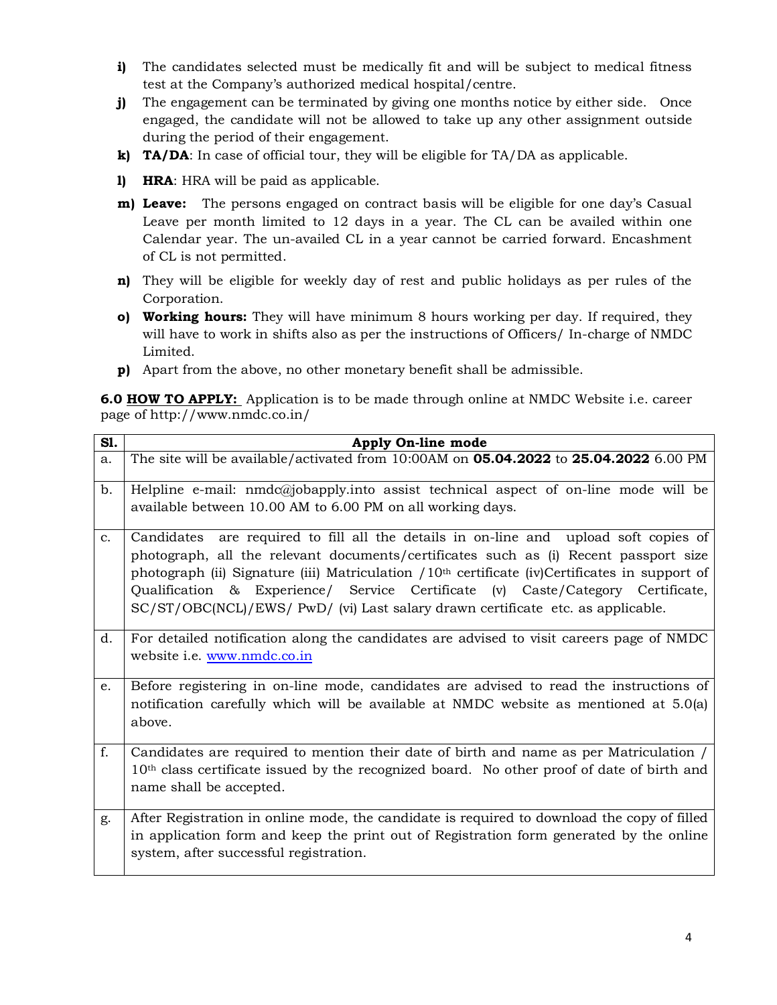- **i)** The candidates selected must be medically fit and will be subject to medical fitness test at the Company's authorized medical hospital/centre.
- **j)** The engagement can be terminated by giving one months notice by either side. Once engaged, the candidate will not be allowed to take up any other assignment outside during the period of their engagement.
- **k) TA/DA**: In case of official tour, they will be eligible for TA/DA as applicable.
- **l) HRA**: HRA will be paid as applicable.
- **m) Leave:** The persons engaged on contract basis will be eligible for one day's Casual Leave per month limited to 12 days in a year. The CL can be availed within one Calendar year. The un-availed CL in a year cannot be carried forward. Encashment of CL is not permitted.
- **n)** They will be eligible for weekly day of rest and public holidays as per rules of the Corporation.
- **o) Working hours:** They will have minimum 8 hours working per day. If required, they will have to work in shifts also as per the instructions of Officers/ In-charge of NMDC Limited.
- **p)** Apart from the above, no other monetary benefit shall be admissible.

**6.0 HOW TO APPLY:** Application is to be made through online at NMDC Website i.e. career page of http://www.nmdc.co.in/

| S1.           | Apply On-line mode                                                                                                                                                                                                                                                                                                                                                                                                                                        |
|---------------|-----------------------------------------------------------------------------------------------------------------------------------------------------------------------------------------------------------------------------------------------------------------------------------------------------------------------------------------------------------------------------------------------------------------------------------------------------------|
| a.            | The site will be available/activated from 10:00AM on <b>05.04.2022</b> to <b>25.04.2022</b> 6.00 PM                                                                                                                                                                                                                                                                                                                                                       |
| b.            | Helpline e-mail: $nmdcQjobapply.$ into assist technical aspect of on-line mode will be<br>available between 10.00 AM to 6.00 PM on all working days.                                                                                                                                                                                                                                                                                                      |
| $C_{\bullet}$ | Candidates are required to fill all the details in on-line and upload soft copies of<br>photograph, all the relevant documents/certificates such as (i) Recent passport size<br>photograph (ii) Signature (iii) Matriculation $/10th$ certificate (iv)Certificates in support of<br>& Experience/ Service Certificate (v) Caste/Category Certificate,<br>Qualification<br>SC/ST/OBC(NCL)/EWS/ PwD/ (vi) Last salary drawn certificate etc. as applicable. |
| d.            | For detailed notification along the candidates are advised to visit careers page of NMDC<br>website i.e. www.nmdc.co.in                                                                                                                                                                                                                                                                                                                                   |
| e.            | Before registering in on-line mode, candidates are advised to read the instructions of<br>notification carefully which will be available at NMDC website as mentioned at 5.0(a)<br>above.                                                                                                                                                                                                                                                                 |
| f.            | Candidates are required to mention their date of birth and name as per Matriculation /<br>10 <sup>th</sup> class certificate issued by the recognized board. No other proof of date of birth and<br>name shall be accepted.                                                                                                                                                                                                                               |
| g.            | After Registration in online mode, the candidate is required to download the copy of filled<br>in application form and keep the print out of Registration form generated by the online<br>system, after successful registration.                                                                                                                                                                                                                          |